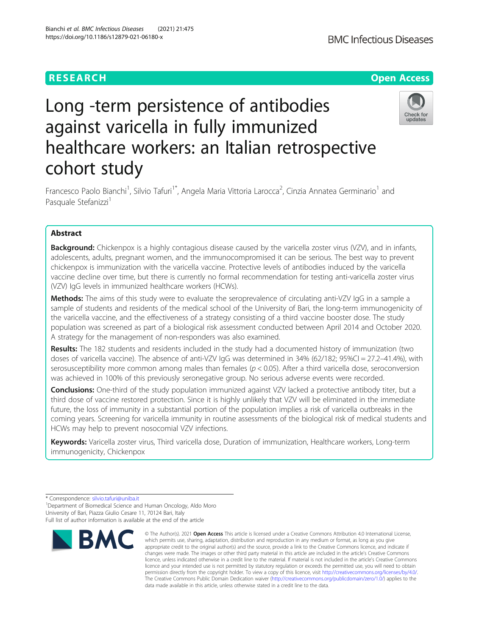# **RESEARCH CHE Open Access**

# Check for updates

# Long -term persistence of antibodies against varicella in fully immunized healthcare workers: an Italian retrospective cohort study

Francesco Paolo Bianchi<sup>1</sup>, Silvio Tafuri<sup>1\*</sup>, Angela Maria Vittoria Larocca<sup>2</sup>, Cinzia Annatea Germinario<sup>1</sup> and Pasquale Stefanizzi<sup>1</sup>

# Abstract

**Background:** Chickenpox is a highly contagious disease caused by the varicella zoster virus (VZV), and in infants, adolescents, adults, pregnant women, and the immunocompromised it can be serious. The best way to prevent chickenpox is immunization with the varicella vaccine. Protective levels of antibodies induced by the varicella vaccine decline over time, but there is currently no formal recommendation for testing anti-varicella zoster virus (VZV) IgG levels in immunized healthcare workers (HCWs).

Methods: The aims of this study were to evaluate the seroprevalence of circulating anti-VZV IgG in a sample a sample of students and residents of the medical school of the University of Bari, the long-term immunogenicity of the varicella vaccine, and the effectiveness of a strategy consisting of a third vaccine booster dose. The study population was screened as part of a biological risk assessment conducted between April 2014 and October 2020. A strategy for the management of non-responders was also examined.

Results: The 182 students and residents included in the study had a documented history of immunization (two doses of varicella vaccine). The absence of anti-VZV IgG was determined in 34% (62/182; 95%CI = 27.2-41.4%), with serosusceptibility more common among males than females ( $p < 0.05$ ). After a third varicella dose, seroconversion was achieved in 100% of this previously seronegative group. No serious adverse events were recorded.

Conclusions: One-third of the study population immunized against VZV lacked a protective antibody titer, but a third dose of vaccine restored protection. Since it is highly unlikely that VZV will be eliminated in the immediate future, the loss of immunity in a substantial portion of the population implies a risk of varicella outbreaks in the coming years. Screening for varicella immunity in routine assessments of the biological risk of medical students and HCWs may help to prevent nosocomial VZV infections.

Keywords: Varicella zoster virus, Third varicella dose, Duration of immunization, Healthcare workers, Long-term immunogenicity, Chickenpox

<sup>&</sup>lt;sup>1</sup> Department of Biomedical Science and Human Oncology, Aldo Moro University of Bari, Piazza Giulio Cesare 11, 70124 Bari, Italy Full list of author information is available at the end of the article



<sup>©</sup> The Author(s), 2021 **Open Access** This article is licensed under a Creative Commons Attribution 4.0 International License, which permits use, sharing, adaptation, distribution and reproduction in any medium or format, as long as you give appropriate credit to the original author(s) and the source, provide a link to the Creative Commons licence, and indicate if changes were made. The images or other third party material in this article are included in the article's Creative Commons licence, unless indicated otherwise in a credit line to the material. If material is not included in the article's Creative Commons licence and your intended use is not permitted by statutory regulation or exceeds the permitted use, you will need to obtain permission directly from the copyright holder. To view a copy of this licence, visit [http://creativecommons.org/licenses/by/4.0/.](http://creativecommons.org/licenses/by/4.0/) The Creative Commons Public Domain Dedication waiver [\(http://creativecommons.org/publicdomain/zero/1.0/](http://creativecommons.org/publicdomain/zero/1.0/)) applies to the data made available in this article, unless otherwise stated in a credit line to the data.

<sup>\*</sup> Correspondence: [silvio.tafuri@uniba.it](mailto:silvio.tafuri@uniba.it) <sup>1</sup>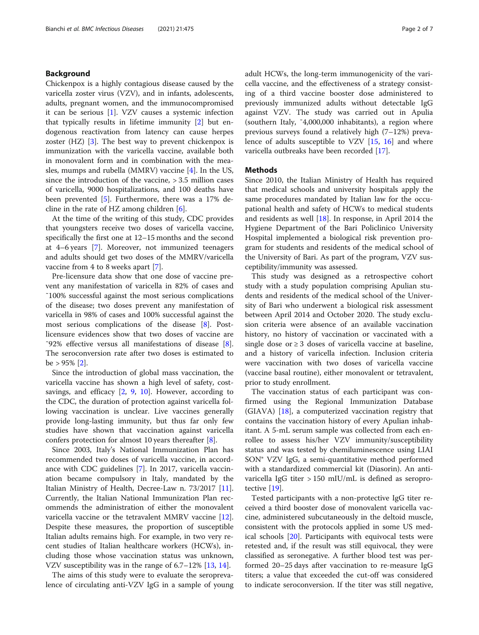# Background

Chickenpox is a highly contagious disease caused by the varicella zoster virus (VZV), and in infants, adolescents, adults, pregnant women, and the immunocompromised it can be serious [\[1](#page-5-0)]. VZV causes a systemic infection that typically results in lifetime immunity [\[2](#page-5-0)] but endogenous reactivation from latency can cause herpes zoster (HZ) [\[3](#page-5-0)]. The best way to prevent chickenpox is immunization with the varicella vaccine, available both in monovalent form and in combination with the measles, mumps and rubella (MMRV) vaccine [[4](#page-5-0)]. In the US, since the introduction of the vaccine,  $> 3.5$  million cases of varicella, 9000 hospitalizations, and 100 deaths have been prevented [[5\]](#page-5-0). Furthermore, there was a 17% decline in the rate of HZ among children [\[6](#page-5-0)].

At the time of the writing of this study, CDC provides that youngsters receive two doses of varicella vaccine, specifically the first one at 12–15 months and the second at 4–6 years [\[7](#page-5-0)]. Moreover, not immunized teenagers and adults should get two doses of the MMRV/varicella vaccine from 4 to 8 weeks apart [[7\]](#page-5-0).

Pre-licensure data show that one dose of vaccine prevent any manifestation of varicella in 82% of cases and ˜100% successful against the most serious complications of the disease; two doses prevent any manifestation of varicella in 98% of cases and 100% successful against the most serious complications of the disease [[8\]](#page-5-0). Postlicensure evidences show that two doses of vaccine are ~92% effective versus all manifestations of disease  $[8]$  $[8]$ . The seroconversion rate after two doses is estimated to be > 95% [\[2](#page-5-0)].

Since the introduction of global mass vaccination, the varicella vaccine has shown a high level of safety, costsavings, and efficacy  $[2, 9, 10]$  $[2, 9, 10]$  $[2, 9, 10]$  $[2, 9, 10]$  $[2, 9, 10]$  $[2, 9, 10]$  $[2, 9, 10]$ . However, according to the CDC, the duration of protection against varicella following vaccination is unclear. Live vaccines generally provide long-lasting immunity, but thus far only few studies have shown that vaccination against varicella confers protection for almost 10 years thereafter [\[8](#page-5-0)].

Since 2003, Italy's National Immunization Plan has recommended two doses of varicella vaccine, in accordance with CDC guidelines [\[7](#page-5-0)]. In 2017, varicella vaccination became compulsory in Italy, mandated by the Italian Ministry of Health, Decree-Law n. 73/2017 [\[11](#page-5-0)]. Currently, the Italian National Immunization Plan recommends the administration of either the monovalent varicella vaccine or the tetravalent MMRV vaccine [\[12](#page-5-0)]. Despite these measures, the proportion of susceptible Italian adults remains high. For example, in two very recent studies of Italian healthcare workers (HCWs), including those whose vaccination status was unknown, VZV susceptibility was in the range of 6.7–12% [\[13,](#page-5-0) [14\]](#page-5-0).

The aims of this study were to evaluate the seroprevalence of circulating anti-VZV IgG in a sample of young adult HCWs, the long-term immunogenicity of the varicella vaccine, and the effectiveness of a strategy consisting of a third vaccine booster dose administered to previously immunized adults without detectable IgG against VZV. The study was carried out in Apulia (southern Italy, ˜4,000,000 inhabitants), a region where previous surveys found a relatively high (7–12%) prevalence of adults susceptible to VZV [[15](#page-5-0), [16\]](#page-6-0) and where varicella outbreaks have been recorded [[17\]](#page-6-0).

### **Methods**

Since 2010, the Italian Ministry of Health has required that medical schools and university hospitals apply the same procedures mandated by Italian law for the occupational health and safety of HCWs to medical students and residents as well [\[18](#page-6-0)]. In response, in April 2014 the Hygiene Department of the Bari Policlinico University Hospital implemented a biological risk prevention program for students and residents of the medical school of the University of Bari. As part of the program, VZV susceptibility/immunity was assessed.

This study was designed as a retrospective cohort study with a study population comprising Apulian students and residents of the medical school of the University of Bari who underwent a biological risk assessment between April 2014 and October 2020. The study exclusion criteria were absence of an available vaccination history, no history of vaccination or vaccinated with a single dose or  $\geq$  3 doses of varicella vaccine at baseline, and a history of varicella infection. Inclusion criteria were vaccination with two doses of varicella vaccine (vaccine basal routine), either monovalent or tetravalent, prior to study enrollment.

The vaccination status of each participant was confirmed using the Regional Immunization Database (GIAVA) [[18](#page-6-0)], a computerized vaccination registry that contains the vaccination history of every Apulian inhabitant. A 5-mL serum sample was collected from each enrollee to assess his/her VZV immunity/susceptibility status and was tested by chemiluminescence using LIAI SON® VZV IgG, a semi-quantitative method performed with a standardized commercial kit (Diasorin). An antivaricella IgG titer > 150 mIU/mL is defined as seroprotective [\[19](#page-6-0)].

Tested participants with a non-protective IgG titer received a third booster dose of monovalent varicella vaccine, administered subcutaneously in the deltoid muscle, consistent with the protocols applied in some US medical schools [\[20](#page-6-0)]. Participants with equivocal tests were retested and, if the result was still equivocal, they were classified as seronegative. A further blood test was performed 20–25 days after vaccination to re-measure IgG titers; a value that exceeded the cut-off was considered to indicate seroconversion. If the titer was still negative,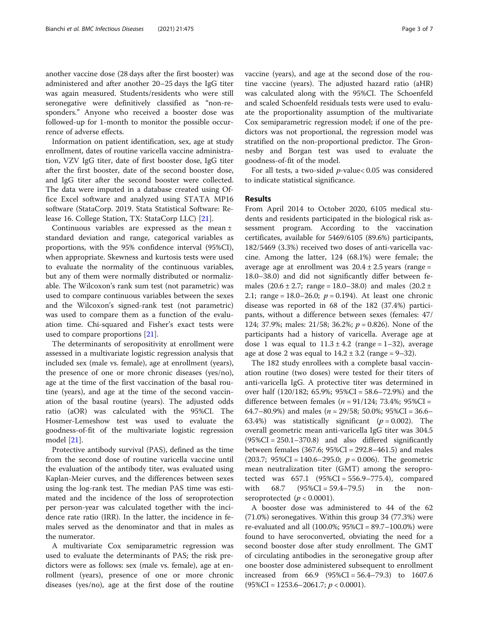another vaccine dose (28 days after the first booster) was administered and after another 20–25 days the IgG titer was again measured. Students/residents who were still seronegative were definitively classified as "non-responders." Anyone who received a booster dose was followed-up for 1-month to monitor the possible occurrence of adverse effects.

Information on patient identification, sex, age at study enrollment, dates of routine varicella vaccine administration, VZV IgG titer, date of first booster dose, IgG titer after the first booster, date of the second booster dose, and IgG titer after the second booster were collected. The data were imputed in a database created using Office Excel software and analyzed using STATA MP16 software (StataCorp. 2019. Stata Statistical Software: Release 16. College Station, TX: StataCorp LLC) [\[21](#page-6-0)].

Continuous variables are expressed as the mean ± standard deviation and range, categorical variables as proportions, with the 95% confidence interval (95%CI), when appropriate. Skewness and kurtosis tests were used to evaluate the normality of the continuous variables, but any of them were normally distributed or normalizable. The Wilcoxon's rank sum test (not parametric) was used to compare continuous variables between the sexes and the Wilcoxon's signed-rank test (not parametric) was used to compare them as a function of the evaluation time. Chi-squared and Fisher's exact tests were used to compare proportions [\[21\]](#page-6-0).

The determinants of seropositivity at enrollment were assessed in a multivariate logistic regression analysis that included sex (male vs. female), age at enrollment (years), the presence of one or more chronic diseases (yes/no), age at the time of the first vaccination of the basal routine (years), and age at the time of the second vaccination of the basal routine (years). The adjusted odds ratio (aOR) was calculated with the 95%CI. The Hosmer-Lemeshow test was used to evaluate the goodness-of-fit of the multivariate logistic regression model [\[21](#page-6-0)].

Protective antibody survival (PAS), defined as the time from the second dose of routine varicella vaccine until the evaluation of the antibody titer, was evaluated using Kaplan-Meier curves, and the differences between sexes using the log-rank test. The median PAS time was estimated and the incidence of the loss of seroprotection per person-year was calculated together with the incidence rate ratio (IRR). In the latter, the incidence in females served as the denominator and that in males as the numerator.

A multivariate Cox semiparametric regression was used to evaluate the determinants of PAS; the risk predictors were as follows: sex (male vs. female), age at enrollment (years), presence of one or more chronic diseases (yes/no), age at the first dose of the routine vaccine (years), and age at the second dose of the routine vaccine (years). The adjusted hazard ratio (aHR) was calculated along with the 95%CI. The Schoenfeld and scaled Schoenfeld residuals tests were used to evaluate the proportionality assumption of the multivariate Cox semiparametric regression model; if one of the predictors was not proportional, the regression model was stratified on the non-proportional predictor. The Gronnesby and Borgan test was used to evaluate the goodness-of-fit of the model.

For all tests, a two-sided p-value< 0.05 was considered to indicate statistical significance.

## Results

From April 2014 to October 2020, 6105 medical students and residents participated in the biological risk assessment program. According to the vaccination certificates, available for 5469/6105 (89.6%) participants, 182/5469 (3.3%) received two doses of anti-varicella vaccine. Among the latter, 124 (68.1%) were female; the average age at enrollment was  $20.4 \pm 2.5$  years (range = 18.0–38.0) and did not significantly differ between females  $(20.6 \pm 2.7; \text{ range} = 18.0 - 38.0)$  and males  $(20.2 \pm$ 2.1; range = 18.0–26.0;  $p = 0.194$ ). At least one chronic disease was reported in 68 of the 182 (37.4%) participants, without a difference between sexes (females: 47/ 124; 37.9%; males: 21/58; 36.2%;  $p = 0.826$ ). None of the participants had a history of varicella. Average age at dose 1 was equal to  $11.3 \pm 4.2$  (range = 1–32), average age at dose 2 was equal to  $14.2 \pm 3.2$  (range = 9–32).

The 182 study enrollees with a complete basal vaccination routine (two doses) were tested for their titers of anti-varicella IgG. A protective titer was determined in over half (120/182; 65.9%; 95%CI = 58.6–72.9%) and the difference between females ( $n = 91/124$ ; 73.4%; 95%CI = 64.7–80.9%) and males ( $n = 29/58$ ; 50.0%; 95%CI = 36.6– 63.4%) was statistically significant ( $p = 0.002$ ). The overall geometric mean anti-varicella IgG titer was 304.5  $(95\%CI = 250.1 - 370.8)$  and also differed significantly between females (367.6; 95%CI = 292.8–461.5) and males (203.7;  $95\%CI = 140.6 - 295.0$ ;  $p = 0.006$ ). The geometric mean neutralization titer (GMT) among the seroprotected was 657.1 (95%CI = 556.9–775.4), compared with 68.7 (95%CI = 59.4–79.5) in the nonseroprotected  $(p < 0.0001)$ .

A booster dose was administered to 44 of the 62 (71.0%) seronegatives. Within this group 34 (77.3%) were re-evaluated and all (100.0%; 95%CI = 89.7–100.0%) were found to have seroconverted, obviating the need for a second booster dose after study enrollment. The GMT of circulating antibodies in the seronegative group after one booster dose administered subsequent to enrollment increased from 66.9 (95%CI = 56.4–79.3) to 1607.6  $(95\%CI = 1253.6 - 2061.7; p < 0.0001).$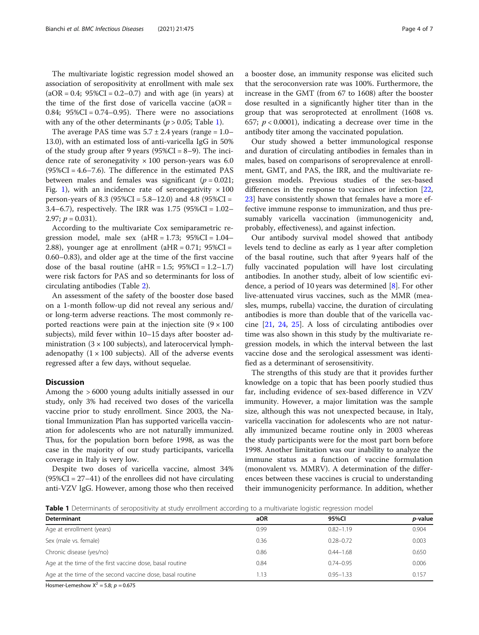The multivariate logistic regression model showed an association of seropositivity at enrollment with male sex  $(aOR = 0.4; 95\%CI = 0.2 - 0.7)$  and with age (in years) at the time of the first dose of varicella vaccine  $(aOR =$ 0.84;  $95\%CI = 0.74 - 0.95$ . There were no associations with any of the other determinants ( $p > 0.05$ ; Table 1).

The average PAS time was  $5.7 \pm 2.4$  years (range = 1.0– 13.0), with an estimated loss of anti-varicella IgG in 50% of the study group after 9 years  $(95\%CI = 8-9)$ . The incidence rate of seronegativity  $\times$  100 person-years was 6.0  $(95\%CI = 4.6 - 7.6)$ . The difference in the estimated PAS between males and females was significant ( $p = 0.021$ ; Fig. [1](#page-4-0)), with an incidence rate of seronegativity  $\times 100$ person-years of 8.3 (95%CI =  $5.8-12.0$ ) and  $4.8$  (95%CI = 3.4–6.7), respectively. The IRR was 1.75 (95%CI = 1.02– 2.97;  $p = 0.031$ ).

According to the multivariate Cox semiparametric regression model, male sex  $(aHR = 1.73; 95\%CI = 1.04-$ 2.88), younger age at enrollment ( $aHR = 0.71$ ;  $95\%CI =$ 0.60–0.83), and older age at the time of the first vaccine dose of the basal routine  $(aHR = 1.5; 95\%CI = 1.2-1.7)$ were risk factors for PAS and so determinants for loss of circulating antibodies (Table [2](#page-4-0)).

An assessment of the safety of the booster dose based on a 1-month follow-up did not reveal any serious and/ or long-term adverse reactions. The most commonly reported reactions were pain at the injection site  $(9 \times 100)$ subjects), mild fever within 10–15 days after booster administration  $(3 \times 100 \text{ subjects})$ , and laterocervical lymphadenopathy  $(1 \times 100$  subjects). All of the adverse events regressed after a few days, without sequelae.

# **Discussion**

Among the > 6000 young adults initially assessed in our study, only 3% had received two doses of the varicella vaccine prior to study enrollment. Since 2003, the National Immunization Plan has supported varicella vaccination for adolescents who are not naturally immunized. Thus, for the population born before 1998, as was the case in the majority of our study participants, varicella coverage in Italy is very low.

Despite two doses of varicella vaccine, almost 34%  $(95\%CI = 27-41)$  of the enrollees did not have circulating anti-VZV IgG. However, among those who then received a booster dose, an immunity response was elicited such that the seroconversion rate was 100%. Furthermore, the increase in the GMT (from 67 to 1608) after the booster dose resulted in a significantly higher titer than in the group that was seroprotected at enrollment (1608 vs. 657;  $p < 0.0001$ ), indicating a decrease over time in the antibody titer among the vaccinated population.

Our study showed a better immunological response and duration of circulating antibodies in females than in males, based on comparisons of seroprevalence at enrollment, GMT, and PAS, the IRR, and the multivariate regression models. Previous studies of the sex-based differences in the response to vaccines or infection [[22](#page-6-0), [23\]](#page-6-0) have consistently shown that females have a more effective immune response to immunization, and thus presumably varicella vaccination (immunogenicity and, probably, effectiveness), and against infection.

Our antibody survival model showed that antibody levels tend to decline as early as 1 year after completion of the basal routine, such that after 9 years half of the fully vaccinated population will have lost circulating antibodies. In another study, albeit of low scientific evidence, a period of 10 years was determined [[8\]](#page-5-0). For other live-attenuated virus vaccines, such as the MMR (measles, mumps, rubella) vaccine, the duration of circulating antibodies is more than double that of the varicella vaccine [\[21](#page-6-0), [24,](#page-6-0) [25](#page-6-0)]. A loss of circulating antibodies over time was also shown in this study by the multivariate regression models, in which the interval between the last vaccine dose and the serological assessment was identified as a determinant of serosensitivity.

The strengths of this study are that it provides further knowledge on a topic that has been poorly studied thus far, including evidence of sex-based difference in VZV immunity. However, a major limitation was the sample size, although this was not unexpected because, in Italy, varicella vaccination for adolescents who are not naturally immunized became routine only in 2003 whereas the study participants were for the most part born before 1998. Another limitation was our inability to analyze the immune status as a function of vaccine formulation (monovalent vs. MMRV). A determination of the differences between these vaccines is crucial to understanding their immunogenicity performance. In addition, whether

Table 1 Determinants of seropositivity at study enrollment according to a multivariate logistic regression model

| Determinant                                               | aOR  | 95%CI         | <i>p</i> -value |
|-----------------------------------------------------------|------|---------------|-----------------|
| Age at enrollment (years)                                 | 0.99 | $0.82 - 1.19$ | 0.904           |
| Sex (male vs. female)                                     | 0.36 | $0.28 - 0.72$ | 0.003           |
| Chronic disease (yes/no)                                  | 0.86 | $0.44 - 1.68$ | 0.650           |
| Age at the time of the first vaccine dose, basal routine  | 0.84 | $0.74 - 0.95$ | 0.006           |
| Age at the time of the second vaccine dose, basal routine | 1.13 | $0.95 - 1.33$ | 0.157           |
|                                                           |      |               |                 |

Hosmer-Lemeshow  $X^2 = 5.8$ ;  $p = 0.675$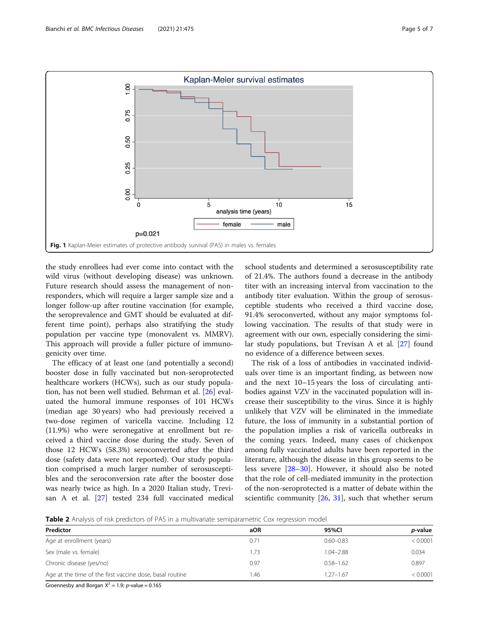<span id="page-4-0"></span>

the study enrollees had ever come into contact with the wild virus (without developing disease) was unknown. Future research should assess the management of nonresponders, which will require a larger sample size and a longer follow-up after routine vaccination (for example, the seroprevalence and GMT should be evaluated at different time point), perhaps also stratifying the study population per vaccine type (monovalent vs. MMRV). This approach will provide a fuller picture of immunogenicity over time.

The efficacy of at least one (and potentially a second) booster dose in fully vaccinated but non-seroprotected healthcare workers (HCWs), such as our study population, has not been well studied. Behrman et al. [[26\]](#page-6-0) evaluated the humoral immune responses of 101 HCWs (median age 30 years) who had previously received a two-dose regimen of varicella vaccine. Including 12 (11.9%) who were seronegative at enrollment but received a third vaccine dose during the study. Seven of those 12 HCWs (58.3%) seroconverted after the third dose (safety data were not reported). Our study population comprised a much larger number of serosusceptibles and the seroconversion rate after the booster dose was nearly twice as high. In a 2020 Italian study, Trevisan A et al. [[27\]](#page-6-0) tested 234 full vaccinated medical

school students and determined a serosusceptibility rate of 21.4%. The authors found a decrease in the antibody titer with an increasing interval from vaccination to the antibody titer evaluation. Within the group of serosusceptible students who received a third vaccine dose, 91.4% seroconverted, without any major symptoms following vaccination. The results of that study were in agreement with our own, especially considering the similar study populations, but Trevisan A et al. [\[27](#page-6-0)] found no evidence of a difference between sexes.

The risk of a loss of antibodies in vaccinated individuals over time is an important finding, as between now and the next 10–15 years the loss of circulating antibodies against VZV in the vaccinated population will increase their susceptibility to the virus. Since it is highly unlikely that VZV will be eliminated in the immediate future, the loss of immunity in a substantial portion of the population implies a risk of varicella outbreaks in the coming years. Indeed, many cases of chickenpox among fully vaccinated adults have been reported in the literature, although the disease in this group seems to be less severe [[28](#page-6-0)–[30](#page-6-0)]. However, it should also be noted that the role of cell-mediated immunity in the protection of the non-seroprotected is a matter of debate within the scientific community [[26](#page-6-0), [31](#page-6-0)], such that whether serum

**Table 2** Analysis of risk predictors of PAS in a multivariate semiparametric Cox regression model

| aOR  | 95%CI         | <i>p</i> -value |
|------|---------------|-----------------|
|      |               |                 |
| 0.71 | $0.60 - 0.83$ | < 0.0001        |
| 1.73 | $1.04 - 2.88$ | 0.034           |
| 0.97 | $0.58 - 1.62$ | 0.897           |
| l.46 | $1.27 - 1.67$ | < 0.0001        |
|      |               |                 |

Groennesby and Borgan  $X^2 = 1.9$ ; p-value = 0.165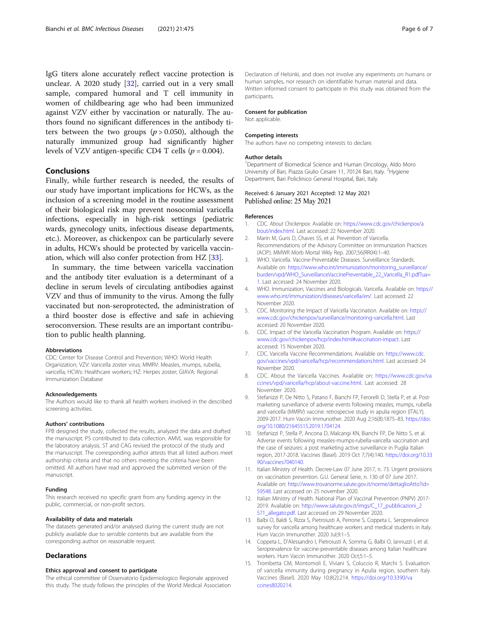<span id="page-5-0"></span>IgG titers alone accurately reflect vaccine protection is unclear. A 2020 study [\[32](#page-6-0)], carried out in a very small sample, compared humoral and T cell immunity in women of childbearing age who had been immunized against VZV either by vaccination or naturally. The authors found no significant differences in the antibody titers between the two groups ( $p > 0.050$ ), although the naturally immunized group had significantly higher levels of VZV antigen-specific CD4 T cells ( $p = 0.004$ ).

# Conclusions

Finally, while further research is needed, the results of our study have important implications for HCWs, as the inclusion of a screening model in the routine assessment of their biological risk may prevent nosocomial varicella infections, especially in high-risk settings (pediatric wards, gynecology units, infectious disease departments, etc.). Moreover, as chickenpox can be particularly severe in adults, HCWs should be protected by varicella vaccination, which will also confer protection from HZ [[33](#page-6-0)].

In summary, the time between varicella vaccination and the antibody titer evaluation is a determinant of a decline in serum levels of circulating antibodies against VZV and thus of immunity to the virus. Among the fully vaccinated but non-seroprotected, the administration of a third booster dose is effective and safe in achieving seroconversion. These results are an important contribution to public health planning.

#### Abbreviations

CDC: Center for Disease Control and Prevention; WHO: World Health Organization; VZV: Varicella zoster virus; MMRV: Measles, mumps, rubella, varicella; HCWs: Healthcare workers; HZ: Herpes zoster; GIAVA: Regional Immunization Database

#### Acknowledgements

The Authors would like to thank all health workers involved in the described screening activities.

#### Authors' contributions

FPB designed the study, collected the results, analyzed the data and drafted the manuscript. PS contributed to data collection. AMVL was responsible for the laboratory analysis. ST and CAG revised the protocol of the study and the manuscript. The corresponding author attests that all listed authors meet authorship criteria and that no others meeting the criteria have been omitted. All authors have read and approved the submitted version of the manuscript.

#### Funding

This research received no specific grant from any funding agency in the public, commercial, or non-profit sectors.

#### Availability of data and materials

The datasets generated and/or analysed during the current study are not publicly available due to sensible contents but are available from the corresponding author on reasonable request.

#### Declarations

#### Ethics approval and consent to participate

The ethical committee of Osservatorio Epidemiologico Regionale approved this study. The study follows the principles of the World Medical Association

Declaration of Helsinki, and does not involve any experiments on humans or human samples, nor research on identifiable human material and data. Written informed consent to participate in this study was obtained from the participants.

#### Consent for publication

Not applicable.

#### Competing interests

The authors have no competing interests to declare.

#### Author details

<sup>1</sup>Department of Biomedical Science and Human Oncology, Aldo Moro University of Bari, Piazza Giulio Cesare 11, 70124 Bari, Italy. <sup>2</sup>Hygiene Department, Bari Policlinico General Hospital, Bari, Italy.

#### Received: 6 January 2021 Accepted: 12 May 2021 Published online: 25 May 2021

#### References

- 1. CDC. About Chickenpox. Available on: [https://www.cdc.gov/chickenpox/a](https://www.cdc.gov/chickenpox/about/index.html) [bout/index.html.](https://www.cdc.gov/chickenpox/about/index.html) Last accessed: 22 November 2020.
- 2. Marin M, Guris D, Chaves SS, et al. Prevention of Varicella. Recommendations of the Advisory Committee on Immunization Practices (ACIP). MMWR Morb Mortal Wkly Rep. 2007;56(RR04):1–40.
- 3. WHO. Varicella. Vaccine-Preventable Diseases. Surveillance Standards. Available on: [https://www.who.int/immunization/monitoring\\_surveillance/](https://www.who.int/immunization/monitoring_surveillance/burden/vpd/WHO_SurveillanceVaccinePreventable_22_Varicella_R1.pdf?ua=1) [burden/vpd/WHO\\_SurveillanceVaccinePreventable\\_22\\_Varicella\\_R1.pdf?ua=](https://www.who.int/immunization/monitoring_surveillance/burden/vpd/WHO_SurveillanceVaccinePreventable_22_Varicella_R1.pdf?ua=1) [1](https://www.who.int/immunization/monitoring_surveillance/burden/vpd/WHO_SurveillanceVaccinePreventable_22_Varicella_R1.pdf?ua=1). Last accessed: 24 November 2020.
- 4. WHO. Immunization, Vaccines and Biologicals. Varicella. Available on: [https://](https://www.who.int/immunization/diseases/varicella/en/) [www.who.int/immunization/diseases/varicella/en/.](https://www.who.int/immunization/diseases/varicella/en/) Last accessed: 22 November 2020.
- 5. CDC. Monitoring the Impact of Varicella Vaccination. Available on: [https://](https://www.cdc.gov/chickenpox/surveillance/monitoring-varicella.html) [www.cdc.gov/chickenpox/surveillance/monitoring-varicella.html](https://www.cdc.gov/chickenpox/surveillance/monitoring-varicella.html). Last accessed: 20 November 2020.
- 6. CDC. Impact of the Varicella Vaccination Program. Available on: [https://](https://www.cdc.gov/chickenpox/hcp/index.html#vaccination-impact) [www.cdc.gov/chickenpox/hcp/index.html#vaccination-impact](https://www.cdc.gov/chickenpox/hcp/index.html#vaccination-impact). Last accessed: 15 November 2020.
- 7. CDC. Varicella Vaccine Recommendations. Available on: [https://www.cdc.](https://www.cdc.gov/vaccines/vpd/varicella/hcp/recommendations.html) [gov/vaccines/vpd/varicella/hcp/recommendations.html](https://www.cdc.gov/vaccines/vpd/varicella/hcp/recommendations.html). Last accessed: 24 November 2020.
- 8. CDC. About the Varicella Vaccines. Available on: [https://www.cdc.gov/va](https://www.cdc.gov/vaccines/vpd/varicella/hcp/about-vaccine.html) [ccines/vpd/varicella/hcp/about-vaccine.html.](https://www.cdc.gov/vaccines/vpd/varicella/hcp/about-vaccine.html) Last accessed: 28 November 2020.
- 9. Stefanizzi P, De Nitto S, Patano F, Bianchi FP, Ferorelli D, Stella P, et al. Postmarketing surveillance of adverse events following measles, mumps, rubella and varicella (MMRV) vaccine: retrospecive study in apulia region (ITALY), 2009-2017. Hum Vaccin Immunother. 2020 Aug 2;16(8):1875–83. [https://doi.](https://doi.org/10.1080/21645515.2019.1704124) [org/10.1080/21645515.2019.1704124](https://doi.org/10.1080/21645515.2019.1704124).
- 10. Stefanizzi P, Stella P, Ancona D, Malcangi KN, Bianchi FP, De Nitto S, et al. Adverse events following measles-mumps-rubella-varicella vaccination and the case of seizures: a post marketing active surveillance in Puglia Italian region, 2017-2018. Vaccines (Basel). 2019 Oct 7;7(4):140. [https://doi.org/10.33](https://doi.org/10.3390/vaccines7040140) [90/vaccines7040140.](https://doi.org/10.3390/vaccines7040140)
- 11. Italian Ministry of Health. Decree-Law 07 June 2017, n. 73. Urgent provisions on vaccination prevention. G.U. General Serie, n. 130 of 07 June 2017. Available on: [http://www.trovanorme.salute.gov.it/norme/dettaglioAtto?id=](http://www.trovanorme.salute.gov.it/norme/dettaglioAtto?id=59548) [59548.](http://www.trovanorme.salute.gov.it/norme/dettaglioAtto?id=59548) Last accessed on 25 november 2020.
- 12. Italian Ministry of Health. National Plan of Vaccinal Prevention (PNPV) 2017- 2019. Available on: [http://www.salute.gov.it/imgs/C\\_17\\_pubblicazioni\\_2](http://www.salute.gov.it/imgs/C_17_pubblicazioni_2571_allegato.pdf) [571\\_allegato.pdf.](http://www.salute.gov.it/imgs/C_17_pubblicazioni_2571_allegato.pdf) Last accessed on 29 November 2020.
- 13. Balbi O, Baldi S, Rizza S, Pietroiusti A, Perrone S, Coppeta L. Seroprevalence survey for varicella among healthcare workers and medical students in Italy. Hum Vaccin Immunother. 2020 Jul;9:1–5.
- 14. Coppeta L, D'Alessandro I, Pietroiusti A, Somma G, Balbi O, Iannuzzi I, et al. Seroprevalence for vaccine-preventable diseases among Italian healthcare workers. Hum Vaccin Immunother. 2020 Oct;5:1–5.
- 15. Trombetta CM, Montomoli E, Viviani S, Coluccio R, Marchi S. Evaluation of varicella immunity during pregnancy in Apulia region, southern Italy. Vaccines (Basel). 2020 May 10;8(2):214. [https://doi.org/10.3390/va](https://doi.org/10.3390/vaccines8020214) [ccines8020214](https://doi.org/10.3390/vaccines8020214).